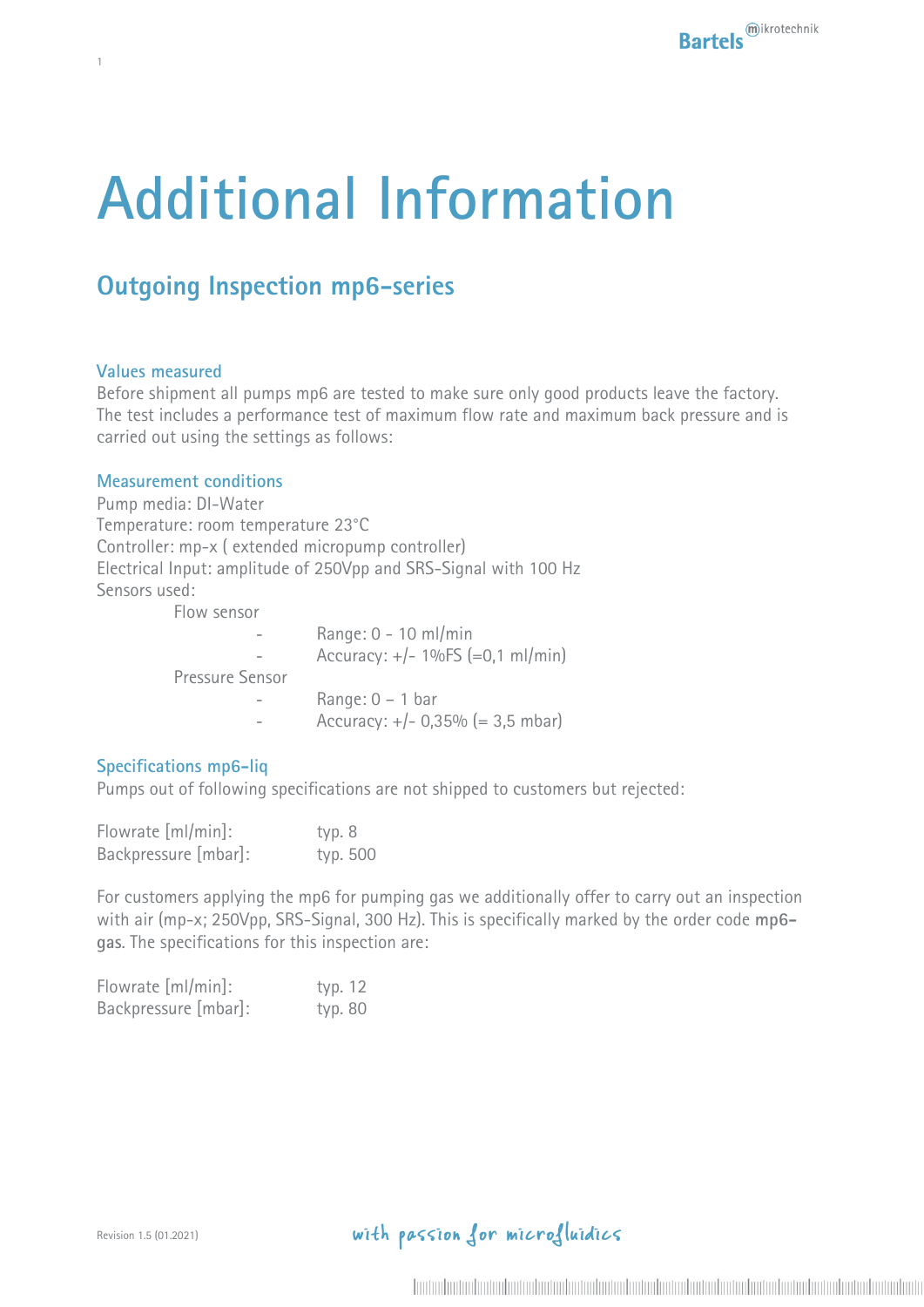# **Additional Information**

# **Outgoing Inspection mp6-series**

#### **Values measured**

1

Before shipment all pumps mp6 are tested to make sure only good products leave the factory. The test includes a performance test of maximum flow rate and maximum back pressure and is carried out using the settings as follows:

#### **Measurement conditions**

Pump media: DI-Water Temperature: room temperature 23°C Controller: mp-x ( extended micropump controller) Electrical Input: amplitude of 250Vpp and SRS-Signal with 100 Hz Sensors used:

Flow sensor

|                 | Range: $0 - 10$ ml/min                      |
|-----------------|---------------------------------------------|
|                 | Accuracy: $+/- 1\%FS (=0,1 ml/min)$         |
| Pressure Sensor |                                             |
|                 | Range: $0 - 1$ bar                          |
|                 | Accuracy: $+/- 0,35\% (= 3,5 \text{ mbar})$ |
|                 |                                             |

#### **Specifications mp6-liq**

Pumps out of following specifications are not shipped to customers but rejected:

| Flowrate [ml/min]:   | typ. 8   |  |
|----------------------|----------|--|
| Backpressure [mbar]: | typ. 500 |  |

For customers applying the mp6 for pumping gas we additionally offer to carry out an inspection with air (mp-x; 250Vpp, SRS-Signal, 300 Hz). This is specifically marked by the order code **mp6 gas**. The specifications for this inspection are:

| Flowrate [ml/min]:   | typ. 12 |  |
|----------------------|---------|--|
| Backpressure [mbar]: | typ. 80 |  |

# with passion for microfluidics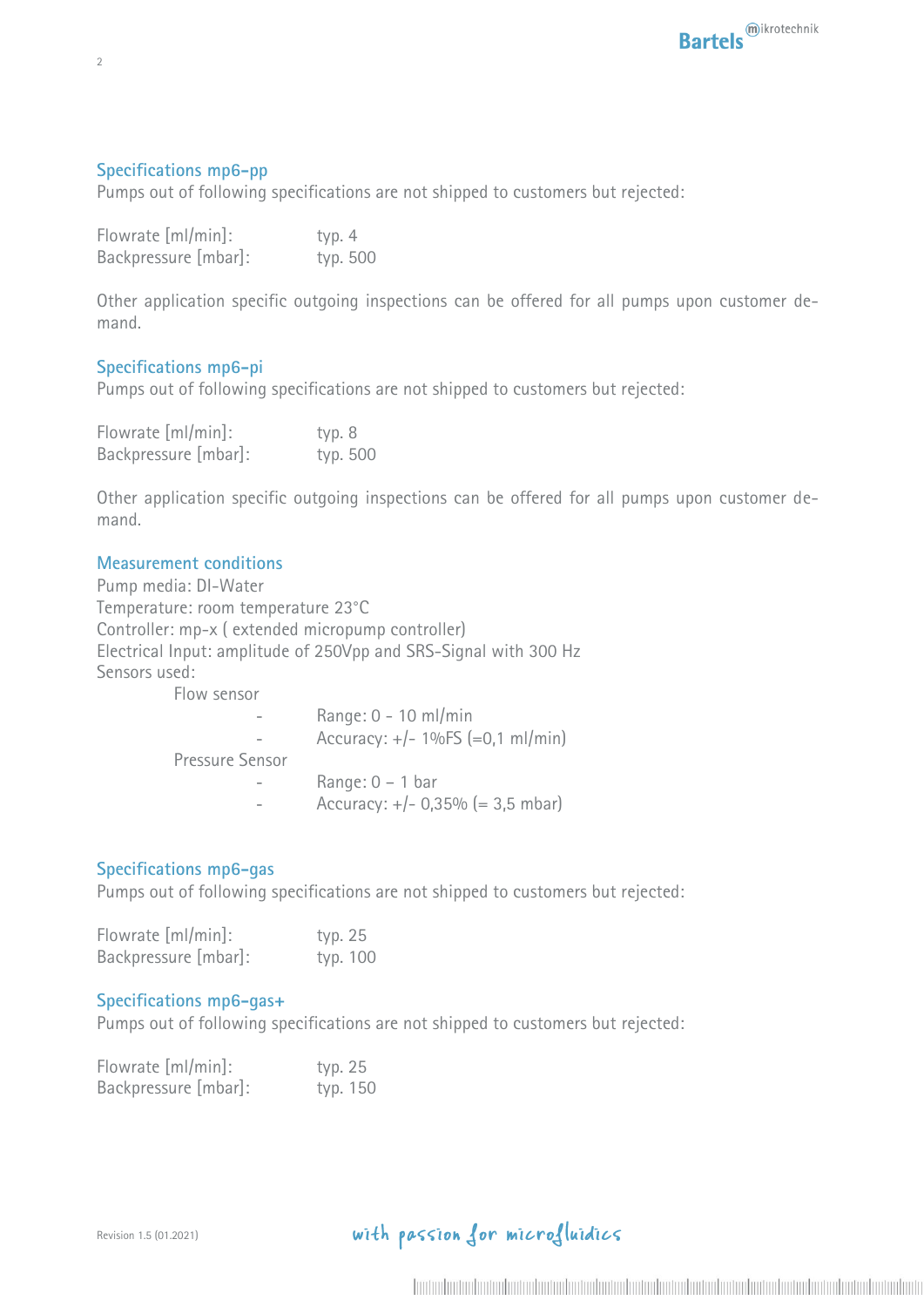## **Specifications mp6-pp**

Pumps out of following specifications are not shipped to customers but rejected:

| Flowrate [ml/min]:   | typ. 4   |  |
|----------------------|----------|--|
| Backpressure [mbar]: | typ. 500 |  |

Other application specific outgoing inspections can be offered for all pumps upon customer demand.

## **Specifications mp6-pi**

Pumps out of following specifications are not shipped to customers but rejected:

| Flowrate [ml/min]:   | typ. 8   |  |
|----------------------|----------|--|
| Backpressure [mbar]: | typ. 500 |  |

Other application specific outgoing inspections can be offered for all pumps upon customer demand.

#### **Measurement conditions**

Pump media: DI-Water Temperature: room temperature 23°C Controller: mp-x ( extended micropump controller) Electrical Input: amplitude of 250Vpp and SRS-Signal with 300 Hz Sensors used: Flow sensor

| TIUW SLIJUT     |                                     |
|-----------------|-------------------------------------|
|                 | Range: $0 - 10$ ml/min              |
|                 | Accuracy: $+/- 1\%FS (=0.1 ml/min)$ |
| Pressure Sensor |                                     |
|                 | Range: $0 - 1$ bar                  |
|                 | Accuracy: $+/- 0.35\%$ (= 3.5 mbar) |
|                 |                                     |

## **Specifications mp6-gas**

Pumps out of following specifications are not shipped to customers but rejected:

| Flowrate [ml/min]:   | typ. 25  |  |
|----------------------|----------|--|
| Backpressure [mbar]: | typ. 100 |  |

#### **Specifications mp6-gas+**

Pumps out of following specifications are not shipped to customers but rejected:

| Flowrate [ml/min]:   | typ. 25  |  |
|----------------------|----------|--|
| Backpressure [mbar]: | typ. 150 |  |

## with passion for microfluidics